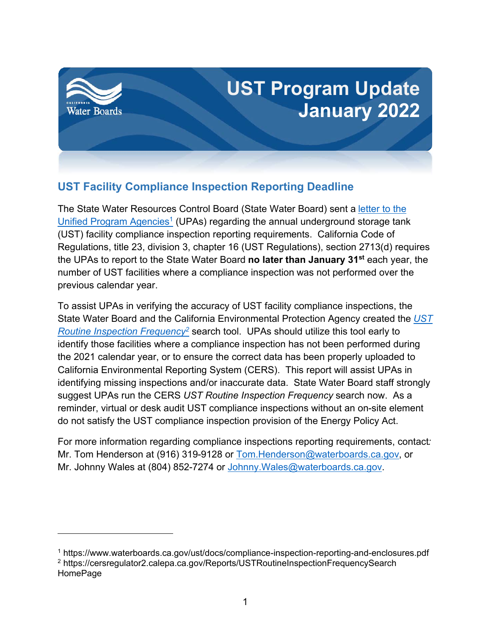

## **UST Facility Compliance Inspection Reporting Deadline**

The State Water Resources Control Board (State Water Board) sent a [letter to the](https://www.waterboards.ca.gov/ust/docs/compliance-inspection-reporting-and-enclosures.pdf)  [Unified Program Agencies](https://www.waterboards.ca.gov/ust/docs/compliance-inspection-reporting-and-enclosures.pdf)<sup>[1](#page-0-0)</sup> (UPAs) regarding the annual underground storage tank (UST) facility compliance inspection reporting requirements. California Code of Regulations, title 23, division 3, chapter 16 (UST Regulations), section 2713(d) requires the UPAs to report to the State Water Board **no later than January 31st** each year, the number of UST facilities where a compliance inspection was not performed over the previous calendar year.

To assist UPAs in verifying the accuracy of UST facility compliance inspections, the State Water Board and the California Environmental Protection Agency created the *[UST](https://cersregulator2.calepa.ca.gov/Reports/USTRoutineInspectionFrequencySearch)  [Routine Inspection Frequency](https://cersregulator2.calepa.ca.gov/Reports/USTRoutineInspectionFrequencySearch)[2](#page-0-1)* search tool. UPAs should utilize this tool early to identify those facilities where a compliance inspection has not been performed during the 2021 calendar year, or to ensure the correct data has been properly uploaded to California Environmental Reporting System (CERS). This report will assist UPAs in identifying missing inspections and/or inaccurate data. State Water Board staff strongly suggest UPAs run the CERS *UST Routine Inspection Frequency* search now. As a reminder, virtual or desk audit UST compliance inspections without an on-site element do not satisfy the UST compliance inspection provision of the Energy Policy Act.

For more information regarding compliance inspections reporting requirements, contact*:* Mr. Tom Henderson at (916) 319-9128 or [Tom.Henderson@waterboards.ca.gov,](mailto:Tom.Henderson@waterboards.ca.gov) or Mr. Johnny Wales at (804) 852-7274 or Johnny. Wales@waterboards.ca.gov.

<span id="page-0-1"></span><span id="page-0-0"></span><sup>1</sup> <https://www.waterboards.ca.gov/ust/docs/compliance-inspection-reporting-and-enclosures.pdf> <sup>2</sup> [https://cersregulator2.calepa.ca.gov/Reports/USTRoutineInspectionFrequencySearch](https://cersregulator2.calepa.ca.gov/Reports/USTRoutineInspectionFrequencySearchHomePage)  [HomePage](https://cersregulator2.calepa.ca.gov/Reports/USTRoutineInspectionFrequencySearchHomePage)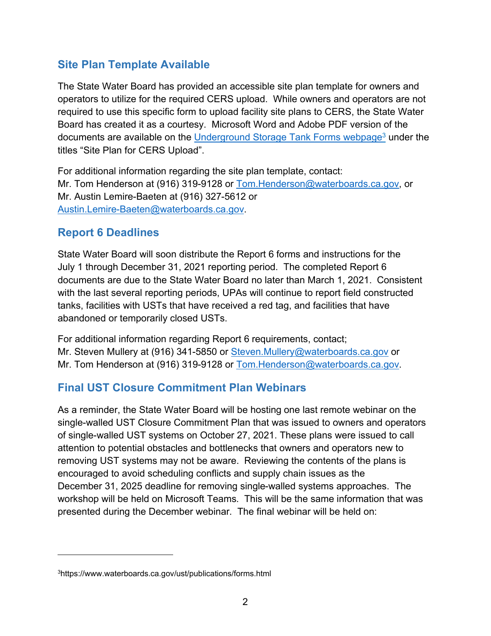## **Site Plan Template Available**

The State Water Board has provided an accessible site plan template for owners and operators to utilize for the required CERS upload. While owners and operators are not required to use this specific form to upload facility site plans to CERS, the State Water Board has created it as a courtesy. Microsoft Word and Adobe PDF version of the documents are available on the Underground [Storage Tank Forms webpage](https://www.waterboards.ca.gov/ust/publications/forms.html)<sup>[3](#page-1-0)</sup> under the titles "Site Plan for CERS Upload".

For additional information regarding the site plan template, contact: Mr. Tom Henderson at (916) 319-9128 or [Tom.Henderson@waterboards.ca.gov,](mailto:Tom.Henderson@waterboards.ca.gov) or Mr. Austin Lemire-Baeten at (916) 327-5612 or [Austin.Lemire-Baeten@waterboards.ca.gov](mailto:Austin.Lemire-Baeten@waterboards.ca.gov).

## **Report 6 Deadlines**

State Water Board will soon distribute the Report 6 forms and instructions for the July 1 through December 31, 2021 reporting period. The completed Report 6 documents are due to the State Water Board no later than March 1, 2021. Consistent with the last several reporting periods, UPAs will continue to report field constructed tanks, facilities with USTs that have received a red tag, and facilities that have abandoned or temporarily closed USTs.

For additional information regarding Report 6 requirements, contact; Mr. Steven Mullery at (916) 341-5850 or [Steven.Mullery@waterboards.ca.gov](mailto:Steven.Mullery@waterboards.ca.gov) or Mr. Tom Henderson at (916) 319-9128 or [Tom.Henderson@waterboards.ca.gov.](mailto:Tom.Henderson@waterboards.ca.gov)

## **Final UST Closure Commitment Plan Webinars**

As a reminder, the State Water Board will be hosting one last remote webinar on the single-walled UST Closure Commitment Plan that was issued to owners and operators of single-walled UST systems on October 27, 2021. These plans were issued to call attention to potential obstacles and bottlenecks that owners and operators new to removing UST systems may not be aware. Reviewing the contents of the plans is encouraged to avoid scheduling conflicts and supply chain issues as the December 31, 2025 deadline for removing single-walled systems approaches. The workshop will be held on Microsoft Teams. This will be the same information that was presented during the December webinar. The final webinar will be held on:

<span id="page-1-0"></span><sup>3</sup>https://www.waterboards.ca.gov/ust/publications/forms.html